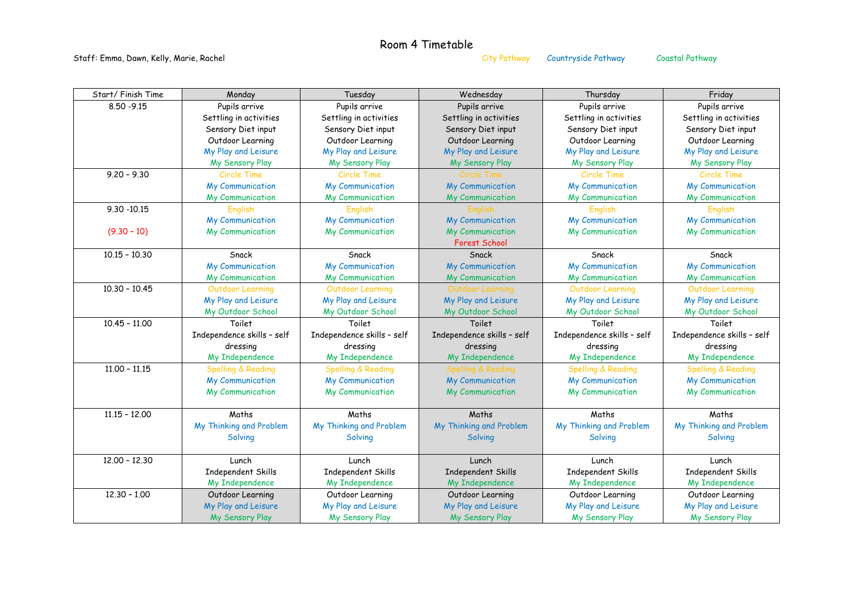## Room 4 Timetable

Staff: Emma, Dawn, Kelly, Marie, Rachel and States and City Pathway Countryside Pathway Coastal Pathway Coastal Pathway

| Start/ Finish Time | Monday                        | Tuesday                       | Wednesday                     | Thursday                      | Friday                        |
|--------------------|-------------------------------|-------------------------------|-------------------------------|-------------------------------|-------------------------------|
| $8.50 - 9.15$      | Pupils arrive                 | Pupils arrive                 | Pupils arrive                 | Pupils arrive                 | Pupils arrive                 |
|                    | Settling in activities        | Settling in activities        | Settling in activities        | Settling in activities        | Settling in activities        |
|                    | Sensory Diet input            | Sensory Diet input            | Sensory Diet input            | Sensory Diet input            | Sensory Diet input            |
|                    | Outdoor Learning              | Outdoor Learning              | Outdoor Learning              | Outdoor Learning              | Outdoor Learning              |
|                    | My Play and Leisure           | My Play and Leisure           | My Play and Leisure           | My Play and Leisure           | My Play and Leisure           |
|                    | My Sensory Play               | My Sensory Play               | My Sensory Play               | My Sensory Play               | My Sensory Play               |
| $9.20 - 9.30$      | Circle Time                   | Circle Time                   | Circle Time                   | Circle Time                   | Circle Time                   |
|                    | <b>My Communication</b>       | <b>My Communication</b>       | <b>My Communication</b>       | My Communication              | <b>My Communication</b>       |
|                    | My Communication              | My Communication              | My Communication              | My Communication              | My Communication              |
| $9.30 - 10.15$     | English                       | English                       | English                       | English                       | <b>English</b>                |
|                    | <b>My Communication</b>       | My Communication              | My Communication              | My Communication              | My Communication              |
| $(9.30 - 10)$      | My Communication              | My Communication              | My Communication              | My Communication              | My Communication              |
|                    |                               |                               | <b>Forest School</b>          |                               |                               |
| $10.15 - 10.30$    | Snack                         | Snack                         | Snack                         | Snack                         | Snack                         |
|                    | <b>My Communication</b>       | My Communication              | My Communication              | My Communication              | My Communication              |
|                    | My Communication              | My Communication              | My Communication              | My Communication              | My Communication              |
| $10.30 - 10.45$    | <b>Outdoor Learning</b>       | <b>Outdoor Learning</b>       | Outdoor Learning              | <b>Outdoor Learning</b>       | <b>Outdoor Learning</b>       |
|                    | My Play and Leisure           | My Play and Leisure           | My Play and Leisure           | My Play and Leisure           | My Play and Leisure           |
|                    | My Outdoor School             | My Outdoor School             | My Outdoor School             | My Outdoor School             | My Outdoor School             |
| $10.45 - 11.00$    | Toilet                        | Toilet                        | Toilet                        | Toilet                        | Toilet                        |
|                    | Independence skills - self    | Independence skills - self    | Independence skills - self    | Independence skills - self    | Independence skills - self    |
|                    | dressing                      | dressing                      | dressing                      | dressing                      | dressing                      |
|                    | My Independence               | My Independence               | My Independence               | My Independence               | My Independence               |
| $11.00 - 11.15$    | <b>Spelling &amp; Reading</b> | <b>Spelling &amp; Reading</b> | <b>Spelling &amp; Reading</b> | <b>Spelling &amp; Reading</b> | <b>Spelling &amp; Reading</b> |
|                    | <b>My Communication</b>       | My Communication              | My Communication              | My Communication              | My Communication              |
|                    | My Communication              | My Communication              | My Communication              | My Communication              | My Communication              |
|                    |                               |                               |                               |                               |                               |
| $11.15 - 12.00$    | Maths                         | Maths                         | Maths                         | Maths                         | Maths                         |
|                    | My Thinking and Problem       | My Thinking and Problem       | My Thinking and Problem       | My Thinking and Problem       | My Thinking and Problem       |
|                    | Solving                       | Solving                       | Solving                       | Solving                       | Solving                       |
|                    |                               |                               |                               |                               |                               |
| $12.00 - 12.30$    | Lunch                         | Lunch                         | Lunch                         | Lunch                         | Lunch                         |
|                    | Independent Skills            | Independent Skills            | <b>Independent Skills</b>     | Independent Skills            | Independent Skills            |
|                    | My Independence               | My Independence               | My Independence               | My Independence               | My Independence               |
| $12.30 - 1.00$     | Outdoor Learning              | Outdoor Learning              | Outdoor Learning              | Outdoor Learning              | Outdoor Learning              |
|                    | My Play and Leisure           | My Play and Leisure           | My Play and Leisure           | My Play and Leisure           | My Play and Leisure           |
|                    | My Sensory Play               | My Sensory Play               | My Sensory Play               | My Sensory Play               | My Sensory Play               |